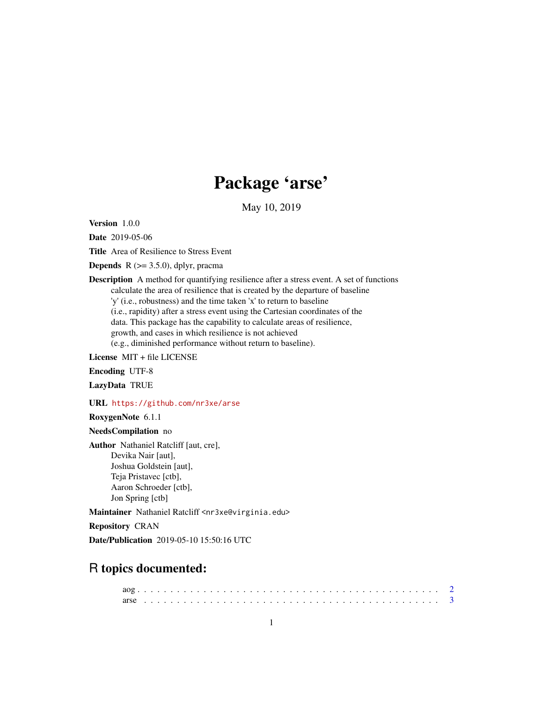## Package 'arse'

May 10, 2019

Version 1.0.0

Date 2019-05-06

Title Area of Resilience to Stress Event

**Depends** R  $(>= 3.5.0)$ , dplyr, pracma

Description A method for quantifying resilience after a stress event. A set of functions calculate the area of resilience that is created by the departure of baseline 'y' (i.e., robustness) and the time taken 'x' to return to baseline (i.e., rapidity) after a stress event using the Cartesian coordinates of the data. This package has the capability to calculate areas of resilience, growth, and cases in which resilience is not achieved (e.g., diminished performance without return to baseline).

License MIT + file LICENSE

Encoding UTF-8

LazyData TRUE

URL <https://github.com/nr3xe/arse>

RoxygenNote 6.1.1

NeedsCompilation no

Author Nathaniel Ratcliff [aut, cre], Devika Nair [aut], Joshua Goldstein [aut], Teja Pristavec [ctb], Aaron Schroeder [ctb], Jon Spring [ctb]

Maintainer Nathaniel Ratcliff <nr3xe@virginia.edu>

Repository CRAN

Date/Publication 2019-05-10 15:50:16 UTC

### R topics documented: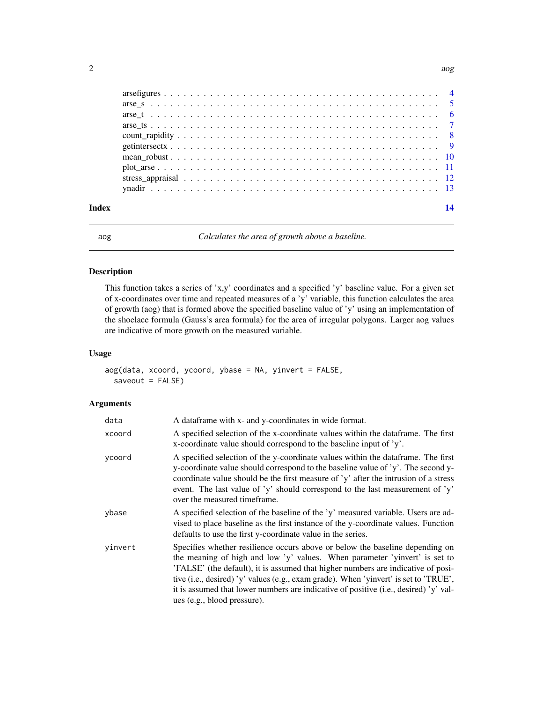<span id="page-1-0"></span>

| Index |  |
|-------|--|
|       |  |
|       |  |
|       |  |
|       |  |
|       |  |
|       |  |
|       |  |
|       |  |
|       |  |
|       |  |

aog *Calculates the area of growth above a baseline.*

#### Description

This function takes a series of 'x,y' coordinates and a specified 'y' baseline value. For a given set of x-coordinates over time and repeated measures of a 'y' variable, this function calculates the area of growth (aog) that is formed above the specified baseline value of 'y' using an implementation of the shoelace formula (Gauss's area formula) for the area of irregular polygons. Larger aog values are indicative of more growth on the measured variable.

#### Usage

```
aog(data, xcoord, ycoord, ybase = NA, yinvert = FALSE,
  saveout = FALSE)
```

| data    | A data frame with x- and y-coordinates in wide format.                                                                                                                                                                                                                                                                                                                                                                                                        |
|---------|---------------------------------------------------------------------------------------------------------------------------------------------------------------------------------------------------------------------------------------------------------------------------------------------------------------------------------------------------------------------------------------------------------------------------------------------------------------|
| xcoord  | A specified selection of the x-coordinate values within the data frame. The first<br>x-coordinate value should correspond to the baseline input of 'y'.                                                                                                                                                                                                                                                                                                       |
| vcoord  | A specified selection of the y-coordinate values within the dataframe. The first<br>y-coordinate value should correspond to the baseline value of 'y'. The second y-<br>coordinate value should be the first measure of 'y' after the intrusion of a stress<br>event. The last value of 'y' should correspond to the last measurement of 'y'<br>over the measured timeframe.                                                                                  |
| ybase   | A specified selection of the baseline of the 'y' measured variable. Users are ad-<br>vised to place baseline as the first instance of the y-coordinate values. Function<br>defaults to use the first y-coordinate value in the series.                                                                                                                                                                                                                        |
| yinvert | Specifies whether resilience occurs above or below the baseline depending on<br>the meaning of high and low 'y' values. When parameter 'yinvert' is set to<br>'FALSE' (the default), it is assumed that higher numbers are indicative of posi-<br>tive (i.e., desired) 'y' values (e.g., exam grade). When 'yinvert' is set to 'TRUE',<br>it is assumed that lower numbers are indicative of positive (i.e., desired) 'y' val-<br>ues (e.g., blood pressure). |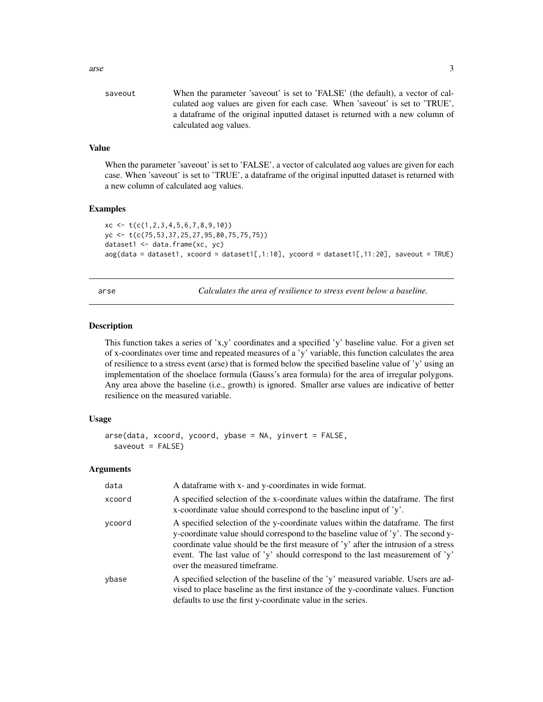<span id="page-2-0"></span>

| saveout | When the parameter 'saveout' is set to 'FALSE' (the default), a vector of cal- |
|---------|--------------------------------------------------------------------------------|
|         | culated aog values are given for each case. When 'saveout' is set to 'TRUE',   |
|         | a data frame of the original inputted dataset is returned with a new column of |
|         | calculated aog values.                                                         |

#### Value

When the parameter 'saveout' is set to 'FALSE', a vector of calculated aog values are given for each case. When 'saveout' is set to 'TRUE', a dataframe of the original inputted dataset is returned with a new column of calculated aog values.

#### Examples

```
xc \leftarrow t(c(1, 2, 3, 4, 5, 6, 7, 8, 9, 10))yc <- t(c(75,53,37,25,27,95,80,75,75,75))
dataset1 <- data.frame(xc, yc)
aog(data = dataset1, xcoord = dataset1[, 1:10], ycoord = dataset1[, 1:101, ycond = dataset1[, 1:20], saveout = TRUE)
```
arse *Calculates the area of resilience to stress event below a baseline.*

#### **Description**

This function takes a series of 'x,y' coordinates and a specified 'y' baseline value. For a given set of x-coordinates over time and repeated measures of a 'y' variable, this function calculates the area of resilience to a stress event (arse) that is formed below the specified baseline value of 'y' using an implementation of the shoelace formula (Gauss's area formula) for the area of irregular polygons. Any area above the baseline (i.e., growth) is ignored. Smaller arse values are indicative of better resilience on the measured variable.

#### Usage

```
arse(data, xcoord, ycoord, ybase = NA, yinvert = FALSE,
  saveout = FALSE)
```

| data   | A data frame with x- and y-coordinates in wide format.                                                                                                                                                                                                                                                                                                                        |
|--------|-------------------------------------------------------------------------------------------------------------------------------------------------------------------------------------------------------------------------------------------------------------------------------------------------------------------------------------------------------------------------------|
| xcoord | A specified selection of the x-coordinate values within the data frame. The first<br>x-coordinate value should correspond to the baseline input of $y'$ .                                                                                                                                                                                                                     |
| ycoord | A specified selection of the y-coordinate values within the data frame. The first<br>y-coordinate value should correspond to the baseline value of 'y'. The second y-<br>coordinate value should be the first measure of 'y' after the intrusion of a stress<br>event. The last value of 'y' should correspond to the last measurement of 'y'<br>over the measured timeframe. |
| ybase  | A specified selection of the baseline of the 'y' measured variable. Users are ad-<br>vised to place baseline as the first instance of the y-coordinate values. Function<br>defaults to use the first y-coordinate value in the series.                                                                                                                                        |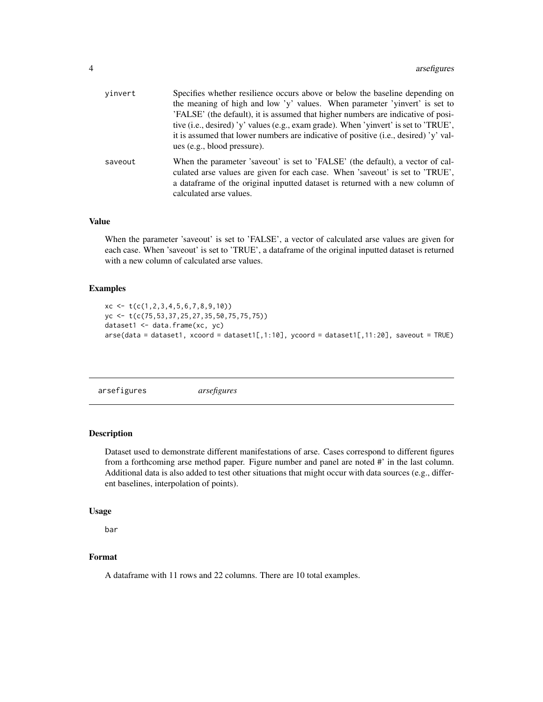<span id="page-3-0"></span>

| vinvert | Specifies whether resilience occurs above or below the baseline depending on                                                                                    |
|---------|-----------------------------------------------------------------------------------------------------------------------------------------------------------------|
|         | the meaning of high and low 'y' values. When parameter 'yinvert' is set to                                                                                      |
|         | 'FALSE' (the default), it is assumed that higher numbers are indicative of posi-                                                                                |
|         | tive (i.e., desired) 'y' values (e.g., exam grade). When 'yinvert' is set to 'TRUE',                                                                            |
|         | it is assumed that lower numbers are indicative of positive (i.e., desired) 'y' val-                                                                            |
|         | ues (e.g., blood pressure).                                                                                                                                     |
| saveout | When the parameter 'saveout' is set to 'FALSE' (the default), a vector of cal-<br>culated arse values are given for each case. When 'saveout' is set to 'TRUE', |
|         | a dataframe of the original inputted dataset is returned with a new column of<br>calculated arse values.                                                        |

#### Value

When the parameter 'saveout' is set to 'FALSE', a vector of calculated arse values are given for each case. When 'saveout' is set to 'TRUE', a dataframe of the original inputted dataset is returned with a new column of calculated arse values.

#### Examples

```
xc \leftarrow t(c(1, 2, 3, 4, 5, 6, 7, 8, 9, 10))yc <- t(c(75,53,37,25,27,35,50,75,75,75))
dataset1 <- data.frame(xc, yc)
\text{area}(\text{data} = \text{dataset1}, \text{xeord} = \text{dataset1}[, 1:10], \text{yeord} = \text{dataset1}[, 11:20], \text{saveout} = \text{TRUE}
```
arsefigures *arsefigures*

#### Description

Dataset used to demonstrate different manifestations of arse. Cases correspond to different figures from a forthcoming arse method paper. Figure number and panel are noted #' in the last column. Additional data is also added to test other situations that might occur with data sources (e.g., different baselines, interpolation of points).

#### Usage

bar

#### Format

A dataframe with 11 rows and 22 columns. There are 10 total examples.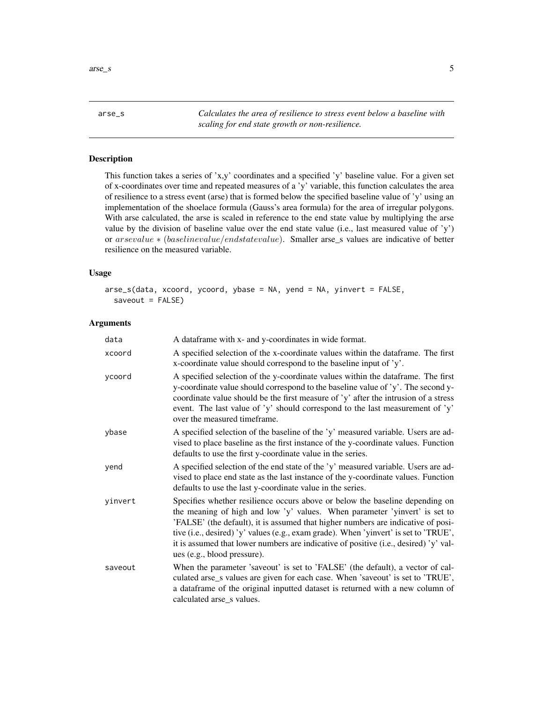<span id="page-4-0"></span>arse\_s *Calculates the area of resilience to stress event below a baseline with scaling for end state growth or non-resilience.*

#### Description

This function takes a series of 'x,y' coordinates and a specified 'y' baseline value. For a given set of x-coordinates over time and repeated measures of a 'y' variable, this function calculates the area of resilience to a stress event (arse) that is formed below the specified baseline value of 'y' using an implementation of the shoelace formula (Gauss's area formula) for the area of irregular polygons. With arse calculated, the arse is scaled in reference to the end state value by multiplying the arse value by the division of baseline value over the end state value (i.e., last measured value of 'y') or arsevalue ∗ (baselinevalue/endstatevalue). Smaller arse\_s values are indicative of better resilience on the measured variable.

#### Usage

arse\_s(data, xcoord, ycoord, ybase = NA, yend = NA, yinvert = FALSE,  $saveout = FALSE)$ 

| data    | A dataframe with x- and y-coordinates in wide format.                                                                                                                                                                                                                                                                                                                                                                                                         |
|---------|---------------------------------------------------------------------------------------------------------------------------------------------------------------------------------------------------------------------------------------------------------------------------------------------------------------------------------------------------------------------------------------------------------------------------------------------------------------|
| xcoord  | A specified selection of the x-coordinate values within the dataframe. The first<br>x-coordinate value should correspond to the baseline input of 'y'.                                                                                                                                                                                                                                                                                                        |
| ycoord  | A specified selection of the y-coordinate values within the dataframe. The first<br>y-coordinate value should correspond to the baseline value of 'y'. The second y-<br>coordinate value should be the first measure of 'y' after the intrusion of a stress<br>event. The last value of 'y' should correspond to the last measurement of 'y'<br>over the measured timeframe.                                                                                  |
| ybase   | A specified selection of the baseline of the 'y' measured variable. Users are ad-<br>vised to place baseline as the first instance of the y-coordinate values. Function<br>defaults to use the first y-coordinate value in the series.                                                                                                                                                                                                                        |
| yend    | A specified selection of the end state of the 'y' measured variable. Users are ad-<br>vised to place end state as the last instance of the y-coordinate values. Function<br>defaults to use the last y-coordinate value in the series.                                                                                                                                                                                                                        |
| yinvert | Specifies whether resilience occurs above or below the baseline depending on<br>the meaning of high and low 'y' values. When parameter 'yinvert' is set to<br>'FALSE' (the default), it is assumed that higher numbers are indicative of posi-<br>tive (i.e., desired) 'y' values (e.g., exam grade). When 'yinvert' is set to 'TRUE',<br>it is assumed that lower numbers are indicative of positive (i.e., desired) 'y' val-<br>ues (e.g., blood pressure). |
| saveout | When the parameter 'saveout' is set to 'FALSE' (the default), a vector of cal-<br>culated arse_s values are given for each case. When 'saveout' is set to 'TRUE',<br>a dataframe of the original inputted dataset is returned with a new column of<br>calculated arse_s values.                                                                                                                                                                               |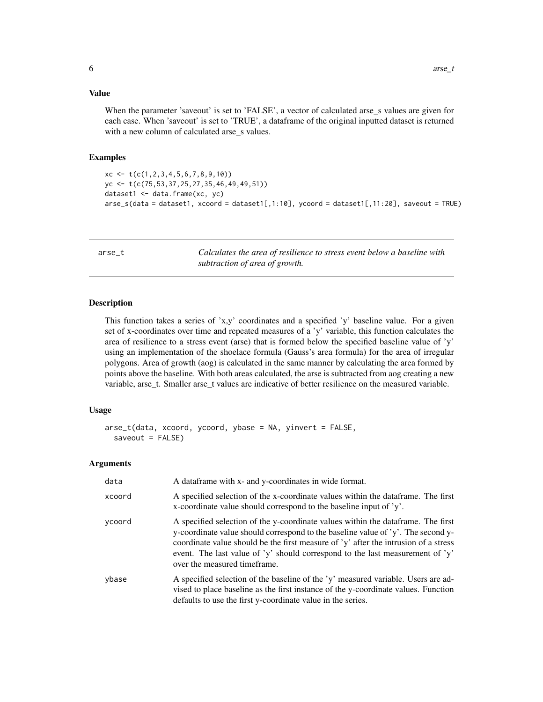#### <span id="page-5-0"></span>Value

When the parameter 'saveout' is set to 'FALSE', a vector of calculated arse\_s values are given for each case. When 'saveout' is set to 'TRUE', a dataframe of the original inputted dataset is returned with a new column of calculated arse\_s values.

#### Examples

```
xc \leftarrow t(c(1, 2, 3, 4, 5, 6, 7, 8, 9, 10))yc <- t(c(75,53,37,25,27,35,46,49,49,51))
dataset1 <- data.frame(xc, yc)
arse_s(data = dataset1, xcoord = dataset1[,1:10], ycoord = dataset1[,11:20], saveout = TRUE)
```
arse\_t *Calculates the area of resilience to stress event below a baseline with subtraction of area of growth.*

#### Description

This function takes a series of 'x,y' coordinates and a specified 'y' baseline value. For a given set of x-coordinates over time and repeated measures of a 'y' variable, this function calculates the area of resilience to a stress event (arse) that is formed below the specified baseline value of 'y' using an implementation of the shoelace formula (Gauss's area formula) for the area of irregular polygons. Area of growth (aog) is calculated in the same manner by calculating the area formed by points above the baseline. With both areas calculated, the arse is subtracted from aog creating a new variable, arse\_t. Smaller arse\_t values are indicative of better resilience on the measured variable.

#### Usage

```
arse_t(data, xcoord, ycoord, ybase = NA, yinvert = FALSE,
  saveout = FALSE)
```

| data   | A data frame with x- and y-coordinates in wide format.                                                                                                                                                                                                                                                                                                                        |
|--------|-------------------------------------------------------------------------------------------------------------------------------------------------------------------------------------------------------------------------------------------------------------------------------------------------------------------------------------------------------------------------------|
| xcoord | A specified selection of the x-coordinate values within the dataframe. The first<br>x-coordinate value should correspond to the baseline input of 'y'.                                                                                                                                                                                                                        |
| vcoord | A specified selection of the y-coordinate values within the data frame. The first<br>y-coordinate value should correspond to the baseline value of 'y'. The second y-<br>coordinate value should be the first measure of 'y' after the intrusion of a stress<br>event. The last value of 'y' should correspond to the last measurement of 'y'<br>over the measured timeframe. |
| ybase  | A specified selection of the baseline of the 'y' measured variable. Users are ad-<br>vised to place baseline as the first instance of the y-coordinate values. Function<br>defaults to use the first y-coordinate value in the series.                                                                                                                                        |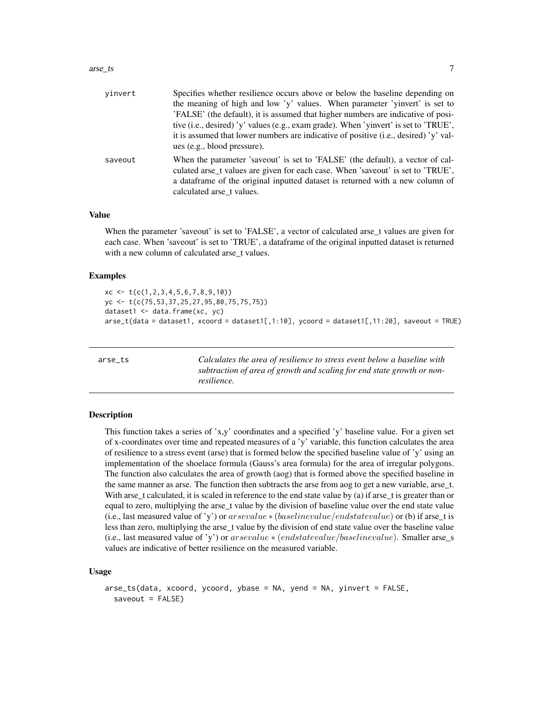#### <span id="page-6-0"></span>arse\_ts 7

| vinvert | Specifies whether resilience occurs above or below the baseline depending on                                                                                      |
|---------|-------------------------------------------------------------------------------------------------------------------------------------------------------------------|
|         | the meaning of high and low 'y' values. When parameter 'yinvert' is set to                                                                                        |
|         | 'FALSE' (the default), it is assumed that higher numbers are indicative of posi-                                                                                  |
|         | tive (i.e., desired) 'y' values (e.g., exam grade). When 'yinvert' is set to 'TRUE',                                                                              |
|         | it is assumed that lower numbers are indicative of positive (i.e., desired) 'y' val-                                                                              |
|         | ues (e.g., blood pressure).                                                                                                                                       |
| saveout | When the parameter 'saveout' is set to 'FALSE' (the default), a vector of cal-<br>culated arse_t values are given for each case. When 'saveout' is set to 'TRUE', |
|         | a data frame of the original inputted dataset is returned with a new column of<br>calculated arse t values.                                                       |

#### Value

When the parameter 'saveout' is set to 'FALSE', a vector of calculated arse\_t values are given for each case. When 'saveout' is set to 'TRUE', a dataframe of the original inputted dataset is returned with a new column of calculated arse\_t values.

#### Examples

```
xc \leftarrow t(c(1, 2, 3, 4, 5, 6, 7, 8, 9, 10))yc <- t(c(75,53,37,25,27,95,80,75,75,75))
dataset1 <- data.frame(xc, yc)
arse_t(data = dataset1, xcoord = dataset1[,1:10], ycoord = dataset1[,11:20], saveout = TRUE)
```
arse\_ts *Calculates the area of resilience to stress event below a baseline with subtraction of area of growth and scaling for end state growth or nonresilience.*

#### Description

This function takes a series of 'x,y' coordinates and a specified 'y' baseline value. For a given set of x-coordinates over time and repeated measures of a 'y' variable, this function calculates the area of resilience to a stress event (arse) that is formed below the specified baseline value of 'y' using an implementation of the shoelace formula (Gauss's area formula) for the area of irregular polygons. The function also calculates the area of growth (aog) that is formed above the specified baseline in the same manner as arse. The function then subtracts the arse from aog to get a new variable, arse\_t. With arse\_t calculated, it is scaled in reference to the end state value by (a) if arse\_t is greater than or equal to zero, multiplying the arse\_t value by the division of baseline value over the end state value (i.e., last measured value of 'y') or arsevalue  $*(baseline/endstatevalue)$  or (b) if arse\_t is less than zero, multiplying the arse\_t value by the division of end state value over the baseline value (i.e., last measured value of 'y') or  $arsevalue * (endstate value/baselinevalue)$ . Smaller arse\_s values are indicative of better resilience on the measured variable.

#### Usage

```
arse_ts(data, xcoord, ycoord, ybase = NA, yend = NA, yinvert = FALSE,
  saveout = FALSE)
```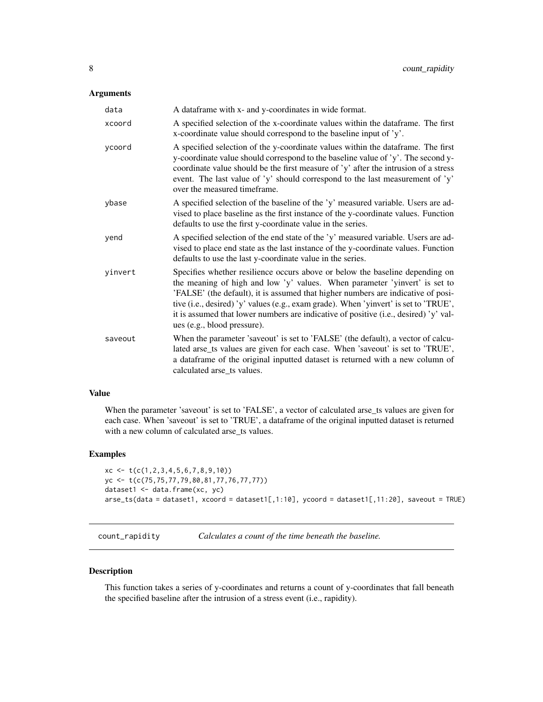#### <span id="page-7-0"></span>Arguments

| data    | A dataframe with x- and y-coordinates in wide format.                                                                                                                                                                                                                                                                                                                                                                                                         |
|---------|---------------------------------------------------------------------------------------------------------------------------------------------------------------------------------------------------------------------------------------------------------------------------------------------------------------------------------------------------------------------------------------------------------------------------------------------------------------|
| xcoord  | A specified selection of the x-coordinate values within the dataframe. The first<br>x-coordinate value should correspond to the baseline input of 'y'.                                                                                                                                                                                                                                                                                                        |
| ycoord  | A specified selection of the y-coordinate values within the dataframe. The first<br>y-coordinate value should correspond to the baseline value of 'y'. The second y-<br>coordinate value should be the first measure of 'y' after the intrusion of a stress<br>event. The last value of 'y' should correspond to the last measurement of 'y'<br>over the measured timeframe.                                                                                  |
| ybase   | A specified selection of the baseline of the 'y' measured variable. Users are ad-<br>vised to place baseline as the first instance of the y-coordinate values. Function<br>defaults to use the first y-coordinate value in the series.                                                                                                                                                                                                                        |
| yend    | A specified selection of the end state of the 'y' measured variable. Users are ad-<br>vised to place end state as the last instance of the y-coordinate values. Function<br>defaults to use the last y-coordinate value in the series.                                                                                                                                                                                                                        |
| yinvert | Specifies whether resilience occurs above or below the baseline depending on<br>the meaning of high and low 'y' values. When parameter 'yinvert' is set to<br>'FALSE' (the default), it is assumed that higher numbers are indicative of posi-<br>tive (i.e., desired) 'y' values (e.g., exam grade). When 'yinvert' is set to 'TRUE',<br>it is assumed that lower numbers are indicative of positive (i.e., desired) 'y' val-<br>ues (e.g., blood pressure). |
| saveout | When the parameter 'saveout' is set to 'FALSE' (the default), a vector of calcu-<br>lated arse_ts values are given for each case. When 'saveout' is set to 'TRUE',<br>a dataframe of the original inputted dataset is returned with a new column of<br>calculated arse_ts values.                                                                                                                                                                             |

#### Value

When the parameter 'saveout' is set to 'FALSE', a vector of calculated arse\_ts values are given for each case. When 'saveout' is set to 'TRUE', a dataframe of the original inputted dataset is returned with a new column of calculated arse\_ts values.

#### Examples

```
xc \leftarrow t(c(1, 2, 3, 4, 5, 6, 7, 8, 9, 10))yc <- t(c(75,75,77,79,80,81,77,76,77,77))
dataset1 <- data.frame(xc, yc)
arse_ts(data = dataset1, xcoord = dataset1[,1:10], ycoord = dataset1[,11:20], saveout = TRUE)
```
count\_rapidity *Calculates a count of the time beneath the baseline.*

#### Description

This function takes a series of y-coordinates and returns a count of y-coordinates that fall beneath the specified baseline after the intrusion of a stress event (i.e., rapidity).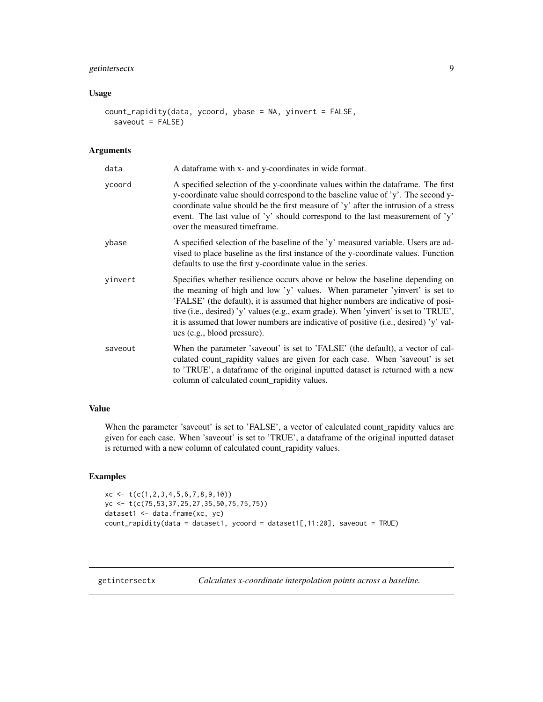#### <span id="page-8-0"></span>getintersectx 9

#### Usage

```
count_rapidity(data, ycoord, ybase = NA, yinvert = FALSE,
  saveout = FALSE)
```
#### Arguments

| data    | A dataframe with x- and y-coordinates in wide format.                                                                                                                                                                                                                                                                                                                                                                                                         |
|---------|---------------------------------------------------------------------------------------------------------------------------------------------------------------------------------------------------------------------------------------------------------------------------------------------------------------------------------------------------------------------------------------------------------------------------------------------------------------|
| ycoord  | A specified selection of the y-coordinate values within the dataframe. The first<br>y-coordinate value should correspond to the baseline value of 'y'. The second y-<br>coordinate value should be the first measure of 'y' after the intrusion of a stress<br>event. The last value of 'y' should correspond to the last measurement of 'y'<br>over the measured timeframe.                                                                                  |
| ybase   | A specified selection of the baseline of the 'y' measured variable. Users are ad-<br>vised to place baseline as the first instance of the y-coordinate values. Function<br>defaults to use the first y-coordinate value in the series.                                                                                                                                                                                                                        |
| yinvert | Specifies whether resilience occurs above or below the baseline depending on<br>the meaning of high and low 'y' values. When parameter 'yinvert' is set to<br>'FALSE' (the default), it is assumed that higher numbers are indicative of posi-<br>tive (i.e., desired) 'y' values (e.g., exam grade). When 'yinvert' is set to 'TRUE',<br>it is assumed that lower numbers are indicative of positive (i.e., desired) 'y' val-<br>ues (e.g., blood pressure). |
| saveout | When the parameter 'saveout' is set to 'FALSE' (the default), a vector of cal-<br>culated count_rapidity values are given for each case. When 'saveout' is set<br>to 'TRUE', a dataframe of the original inputted dataset is returned with a new<br>column of calculated count_rapidity values.                                                                                                                                                               |

#### Value

When the parameter 'saveout' is set to 'FALSE', a vector of calculated count\_rapidity values are given for each case. When 'saveout' is set to 'TRUE', a dataframe of the original inputted dataset is returned with a new column of calculated count\_rapidity values.

#### Examples

```
xc <- t(c(1,2,3,4,5,6,7,8,9,10))
yc <- t(c(75,53,37,25,27,35,50,75,75,75))
dataset1 <- data.frame(xc, yc)
count_rapidity(data = dataset1, ycoord = dataset1[,11:20], saveout = TRUE)
```
getintersectx *Calculates x-coordinate interpolation points across a baseline.*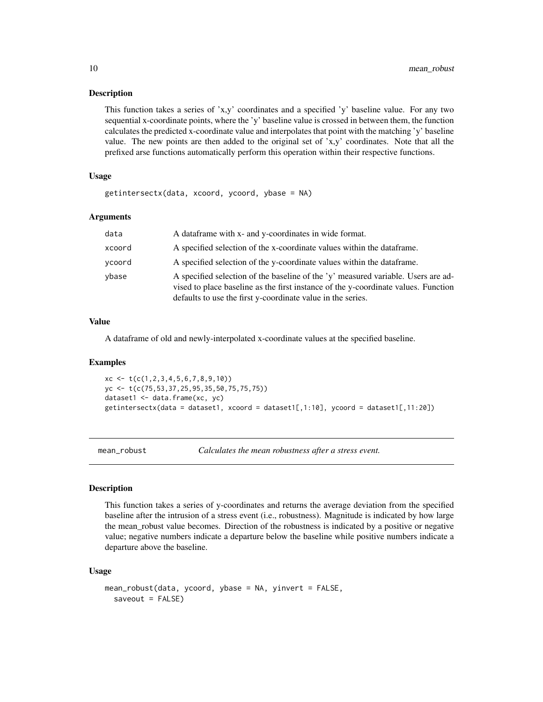#### Description

This function takes a series of 'x,y' coordinates and a specified 'y' baseline value. For any two sequential x-coordinate points, where the 'y' baseline value is crossed in between them, the function calculates the predicted x-coordinate value and interpolates that point with the matching 'y' baseline value. The new points are then added to the original set of 'x,y' coordinates. Note that all the prefixed arse functions automatically perform this operation within their respective functions.

#### Usage

```
getintersectx(data, xcoord, ycoord, ybase = NA)
```
#### Arguments

| data   | A data frame with x- and y-coordinates in wide format.                                                                                                                                                                                 |
|--------|----------------------------------------------------------------------------------------------------------------------------------------------------------------------------------------------------------------------------------------|
| xcoord | A specified selection of the x-coordinate values within the data frame.                                                                                                                                                                |
| vcoord | A specified selection of the y-coordinate values within the data frame.                                                                                                                                                                |
| vbase  | A specified selection of the baseline of the 'y' measured variable. Users are ad-<br>vised to place baseline as the first instance of the y-coordinate values. Function<br>defaults to use the first y-coordinate value in the series. |

#### Value

A dataframe of old and newly-interpolated x-coordinate values at the specified baseline.

#### Examples

```
xc \leftarrow t(c(1, 2, 3, 4, 5, 6, 7, 8, 9, 10))yc <- t(c(75,53,37,25,95,35,50,75,75,75))
dataset1 <- data.frame(xc, yc)
getintersectx(data = dataset1, xcoord = dataset1[,1:10], ycoord = dataset1[,11:20])
```
mean\_robust *Calculates the mean robustness after a stress event.*

#### Description

This function takes a series of y-coordinates and returns the average deviation from the specified baseline after the intrusion of a stress event (i.e., robustness). Magnitude is indicated by how large the mean\_robust value becomes. Direction of the robustness is indicated by a positive or negative value; negative numbers indicate a departure below the baseline while positive numbers indicate a departure above the baseline.

#### Usage

```
mean_robust(data, ycoord, ybase = NA, yinvert = FALSE,
  saveout = FALSE)
```
<span id="page-9-0"></span>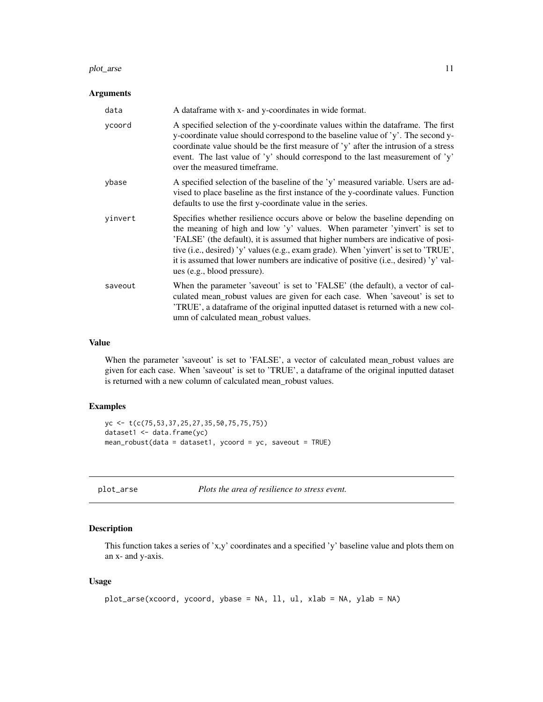#### <span id="page-10-0"></span>plot\_arse the contract of the contract of the contract of the contract of the contract of the contract of the contract of the contract of the contract of the contract of the contract of the contract of the contract of the

#### Arguments

| data    | A dataframe with x- and y-coordinates in wide format.                                                                                                                                                                                                                                                                                                                                                                                                         |
|---------|---------------------------------------------------------------------------------------------------------------------------------------------------------------------------------------------------------------------------------------------------------------------------------------------------------------------------------------------------------------------------------------------------------------------------------------------------------------|
| ycoord  | A specified selection of the y-coordinate values within the dataframe. The first<br>y-coordinate value should correspond to the baseline value of 'y'. The second y-<br>coordinate value should be the first measure of 'y' after the intrusion of a stress<br>event. The last value of 'y' should correspond to the last measurement of 'y'<br>over the measured timeframe.                                                                                  |
| ybase   | A specified selection of the baseline of the 'y' measured variable. Users are ad-<br>vised to place baseline as the first instance of the y-coordinate values. Function<br>defaults to use the first y-coordinate value in the series.                                                                                                                                                                                                                        |
| yinvert | Specifies whether resilience occurs above or below the baseline depending on<br>the meaning of high and low 'y' values. When parameter 'yinvert' is set to<br>'FALSE' (the default), it is assumed that higher numbers are indicative of posi-<br>tive (i.e., desired) 'y' values (e.g., exam grade). When 'yinvert' is set to 'TRUE',<br>it is assumed that lower numbers are indicative of positive (i.e., desired) 'y' val-<br>ues (e.g., blood pressure). |
| saveout | When the parameter 'saveout' is set to 'FALSE' (the default), a vector of cal-<br>culated mean_robust values are given for each case. When 'saveout' is set to<br>'TRUE', a dataframe of the original inputted dataset is returned with a new col-<br>umn of calculated mean_robust values.                                                                                                                                                                   |

#### Value

When the parameter 'saveout' is set to 'FALSE', a vector of calculated mean\_robust values are given for each case. When 'saveout' is set to 'TRUE', a dataframe of the original inputted dataset is returned with a new column of calculated mean\_robust values.

#### Examples

```
yc <- t(c(75,53,37,25,27,35,50,75,75,75))
dataset1 <- data.frame(yc)
mean_robust(data = dataset1, ycoord = yc, saveout = TRUE)
```
plot\_arse *Plots the area of resilience to stress event.*

#### Description

This function takes a series of 'x,y' coordinates and a specified 'y' baseline value and plots them on an x- and y-axis.

#### Usage

```
plot_arse(xcoord, ycoord, ybase = NA, ll, ul, xlab = NA, ylab = NA)
```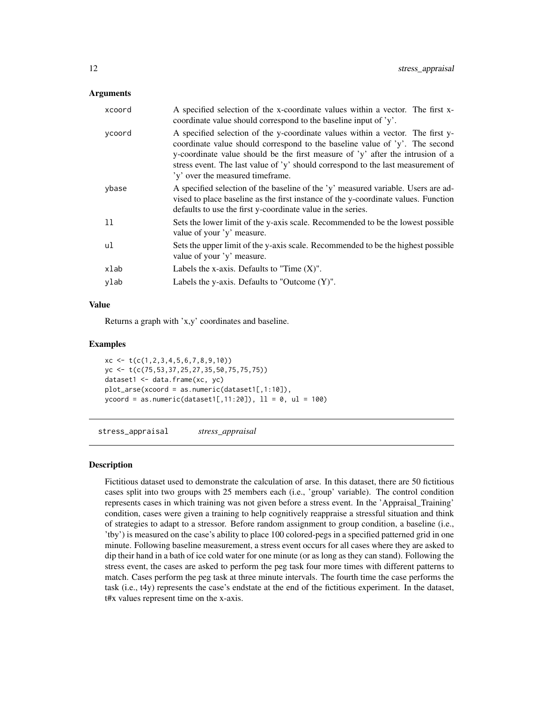#### <span id="page-11-0"></span>Arguments

| xcoord | A specified selection of the x-coordinate values within a vector. The first x-<br>coordinate value should correspond to the baseline input of 'y'.                                                                                                                                                                                                                      |
|--------|-------------------------------------------------------------------------------------------------------------------------------------------------------------------------------------------------------------------------------------------------------------------------------------------------------------------------------------------------------------------------|
| ycoord | A specified selection of the y-coordinate values within a vector. The first y-<br>coordinate value should correspond to the baseline value of 'y'. The second<br>y-coordinate value should be the first measure of 'y' after the intrusion of a<br>stress event. The last value of 'y' should correspond to the last measurement of<br>'y' over the measured timeframe. |
| ybase  | A specified selection of the baseline of the 'y' measured variable. Users are ad-<br>vised to place baseline as the first instance of the y-coordinate values. Function<br>defaults to use the first y-coordinate value in the series.                                                                                                                                  |
| 11     | Sets the lower limit of the y-axis scale. Recommended to be the lowest possible<br>value of your 'y' measure.                                                                                                                                                                                                                                                           |
| ul     | Sets the upper limit of the y-axis scale. Recommended to be the highest possible<br>value of your 'y' measure.                                                                                                                                                                                                                                                          |
| xlab   | Labels the x-axis. Defaults to "Time $(X)$ ".                                                                                                                                                                                                                                                                                                                           |
| ylab   | Labels the y-axis. Defaults to "Outcome $(Y)$ ".                                                                                                                                                                                                                                                                                                                        |

#### Value

Returns a graph with 'x,y' coordinates and baseline.

#### Examples

```
xc <- t(c(1,2,3,4,5,6,7,8,9,10))
yc <- t(c(75,53,37,25,27,35,50,75,75,75))
dataset1 <- data.frame(xc, yc)
plot_arse(xcoord = as.numeric(dataset1[,1:10]),
ycoord = as.numeric(dataset1[, 11:20]), 11 = 0, ul = 100)
```
stress\_appraisal *stress\_appraisal*

#### Description

Fictitious dataset used to demonstrate the calculation of arse. In this dataset, there are 50 fictitious cases split into two groups with 25 members each (i.e., 'group' variable). The control condition represents cases in which training was not given before a stress event. In the 'Appraisal\_Training' condition, cases were given a training to help cognitively reappraise a stressful situation and think of strategies to adapt to a stressor. Before random assignment to group condition, a baseline (i.e., 'tby') is measured on the case's ability to place 100 colored-pegs in a specified patterned grid in one minute. Following baseline measurement, a stress event occurs for all cases where they are asked to dip their hand in a bath of ice cold water for one minute (or as long as they can stand). Following the stress event, the cases are asked to perform the peg task four more times with different patterns to match. Cases perform the peg task at three minute intervals. The fourth time the case performs the task (i.e., t4y) represents the case's endstate at the end of the fictitious experiment. In the dataset, t#x values represent time on the x-axis.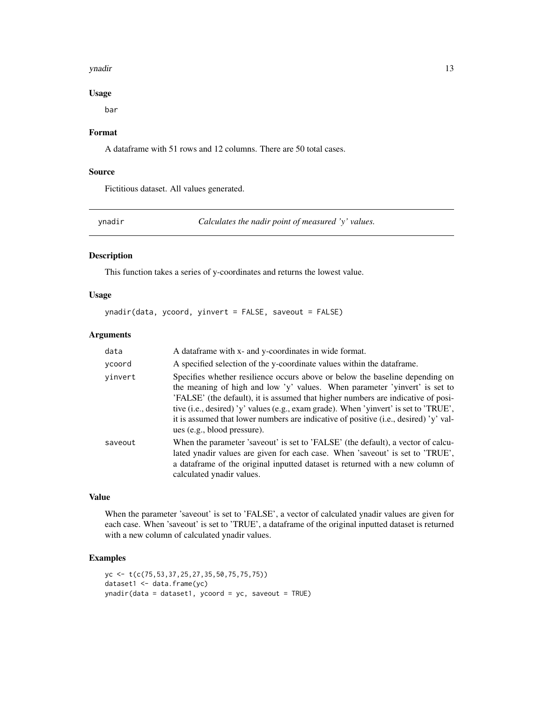#### <span id="page-12-0"></span>ynadir 13

#### Usage

bar

#### Format

A dataframe with 51 rows and 12 columns. There are 50 total cases.

#### Source

Fictitious dataset. All values generated.

ynadir *Calculates the nadir point of measured 'y' values.*

#### Description

This function takes a series of y-coordinates and returns the lowest value.

#### Usage

ynadir(data, ycoord, yinvert = FALSE, saveout = FALSE)

#### Arguments

| data    | A dataframe with x- and y-coordinates in wide format.                                                                                                                                                                                                                                                                                                                                                                                                         |
|---------|---------------------------------------------------------------------------------------------------------------------------------------------------------------------------------------------------------------------------------------------------------------------------------------------------------------------------------------------------------------------------------------------------------------------------------------------------------------|
| ycoord  | A specified selection of the y-coordinate values within the data frame.                                                                                                                                                                                                                                                                                                                                                                                       |
| vinvert | Specifies whether resilience occurs above or below the baseline depending on<br>the meaning of high and low 'y' values. When parameter 'yinvert' is set to<br>'FALSE' (the default), it is assumed that higher numbers are indicative of posi-<br>tive (i.e., desired) 'y' values (e.g., exam grade). When 'yinvert' is set to 'TRUE',<br>it is assumed that lower numbers are indicative of positive (i.e., desired) 'y' val-<br>ues (e.g., blood pressure). |
| saveout | When the parameter 'saveout' is set to 'FALSE' (the default), a vector of calcu-<br>lated ynadir values are given for each case. When 'saveout' is set to 'TRUE',<br>a dataframe of the original inputted dataset is returned with a new column of<br>calculated ynadir values.                                                                                                                                                                               |

#### Value

When the parameter 'saveout' is set to 'FALSE', a vector of calculated ynadir values are given for each case. When 'saveout' is set to 'TRUE', a dataframe of the original inputted dataset is returned with a new column of calculated ynadir values.

#### Examples

```
yc <- t(c(75,53,37,25,27,35,50,75,75,75))
dataset1 <- data.frame(yc)
ynadir(data = dataset1, ycoord = yc, saveout = TRUE)
```